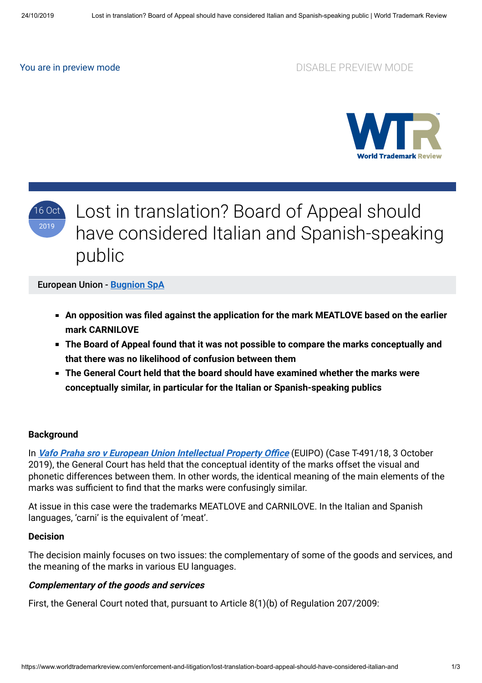## You are in preview mode **DISABLE PREVIEW MODE**



# 16 Oct 2019

Lost in translation? Board of Appeal should have considered Italian and Spanish-speaking public

#### European Union - **[Bugnion SpA](https://www.worldtrademarkreview.com/Daily/Contributors#Italy)**

- **An opposition was filed against the application for the mark MEATLOVE based on the earlier mark CARNILOVE**
- **The Board of Appeal found that it was not possible to compare the marks conceptually and that there was no likelihood of confusion between them**
- **The General Court held that the board should have examined whether the marks were conceptually similar, in particular for the Italian or Spanish-speaking publics**

#### **Background**

In Vafo Praha sro v European Union Intellectual Property Office (EUIPO) (Case T-491/18, 3 October 2019), the General Court has held that the conceptual identity of the marks offset the visual and phonetic differences between them. In other words, the identical meaning of the main elements of the marks was sufficient to find that the marks were confusingly similar.

At issue in this case were the trademarks MEATLOVE and CARNILOVE. In the Italian and Spanish languages, 'carni' is the equivalent of 'meat'.

#### **Decision**

The decision mainly focuses on two issues: the complementary of some of the goods and services, and the meaning of the marks in various EU languages.

#### **Complementary of the goods and services**

First, the General Court noted that, pursuant to Article 8(1)(b) of Regulation 207/2009: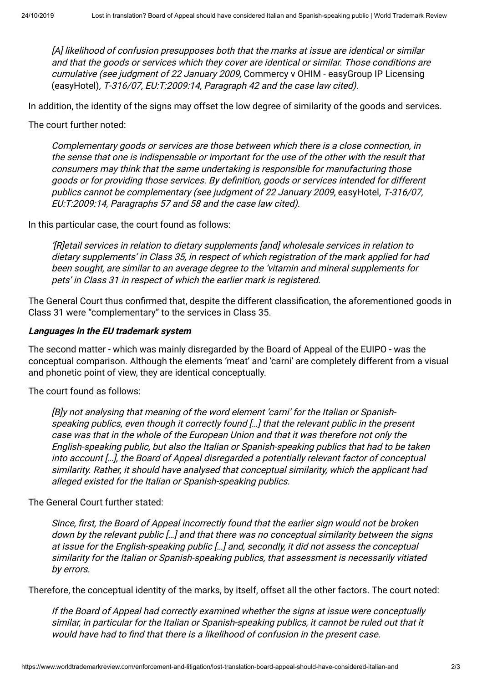[A] likelihood of confusion presupposes both that the marks at issue are identical or similar and that the goods or services which they cover are identical or similar. Those conditions are cumulative (see judgment of 22 January 2009, Commercy v OHIM - easyGroup IP Licensing (easyHotel), T‑316/07, EU:T:2009:14, Paragraph 42 and the case law cited).

In addition, the identity of the signs may offset the low degree of similarity of the goods and services.

The court further noted:

Complementary goods or services are those between which there is a close connection, in the sense that one is indispensable or important for the use of the other with the result that consumers may think that the same undertaking is responsible for manufacturing those goods or for providing those services. By definition, goods or services intended for different publics cannot be complementary (see judgment of 22 January 2009, easyHotel, T-316/07, EU:T:2009:14, Paragraphs 57 and 58 and the case law cited).

In this particular case, the court found as follows:

'[R]etail services in relation to dietary supplements [and] wholesale services in relation to dietary supplements' in Class 35, in respect of which registration of the mark applied for had been sought, are similar to an average degree to the 'vitamin and mineral supplements for pets' in Class 31 in respect of which the earlier mark is registered.

The General Court thus confirmed that, despite the different classification, the aforementioned goods in Class 31 were "complementary" to the services in Class 35.

### **Languages in the EU trademark system**

The second matter - which was mainly disregarded by the Board of Appeal of the EUIPO - was the conceptual comparison. Although the elements 'meat' and 'carni' are completely different from a visual and phonetic point of view, they are identical conceptually.

The court found as follows:

[B]y not analysing that meaning of the word element 'carni' for the Italian or Spanishspeaking publics, even though it correctly found […] that the relevant public in the present case was that in the whole of the European Union and that it was therefore not only the English-speaking public, but also the Italian or Spanish-speaking publics that had to be taken into account […], the Board of Appeal disregarded a potentially relevant factor of conceptual similarity. Rather, it should have analysed that conceptual similarity, which the applicant had alleged existed for the Italian or Spanish-speaking publics.

The General Court further stated:

Since, first, the Board of Appeal incorrectly found that the earlier sign would not be broken down by the relevant public […] and that there was no conceptual similarity between the signs at issue for the English-speaking public […] and, secondly, it did not assess the conceptual similarity for the Italian or Spanish-speaking publics, that assessment is necessarily vitiated by errors.

Therefore, the conceptual identity of the marks, by itself, offset all the other factors. The court noted:

If the Board of Appeal had correctly examined whether the signs at issue were conceptually similar, in particular for the Italian or Spanish-speaking publics, it cannot be ruled out that it would have had to find that there is a likelihood of confusion in the present case.